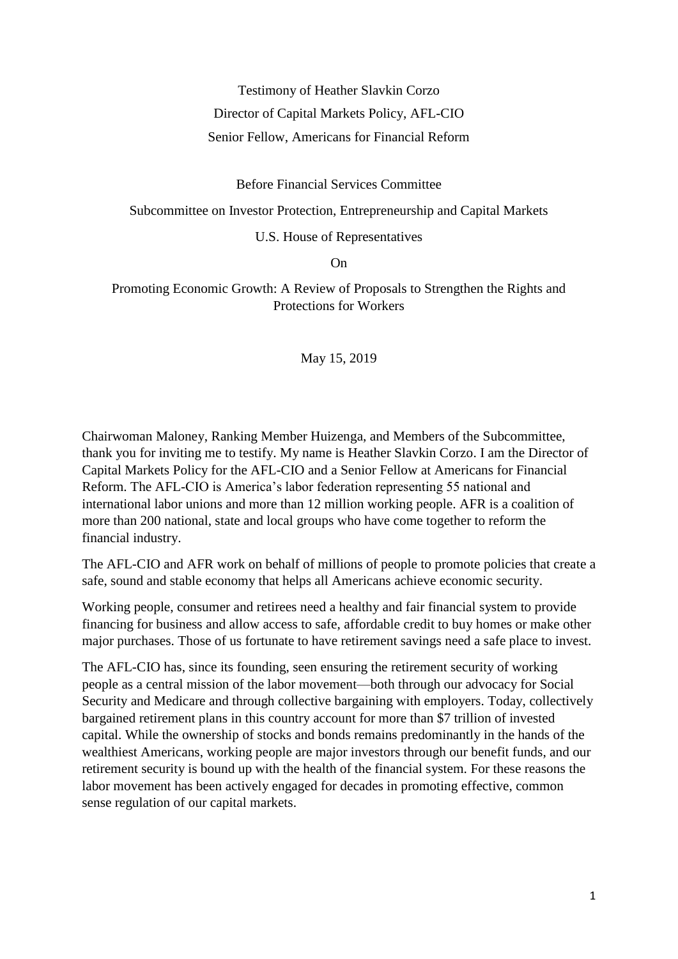#### Testimony of Heather Slavkin Corzo

Director of Capital Markets Policy, AFL-CIO

#### Senior Fellow, Americans for Financial Reform

Before Financial Services Committee

Subcommittee on Investor Protection, Entrepreneurship and Capital Markets

U.S. House of Representatives

On

Promoting Economic Growth: A Review of Proposals to Strengthen the Rights and Protections for Workers

May 15, 2019

Chairwoman Maloney, Ranking Member Huizenga, and Members of the Subcommittee, thank you for inviting me to testify. My name is Heather Slavkin Corzo. I am the Director of Capital Markets Policy for the AFL-CIO and a Senior Fellow at Americans for Financial Reform. The AFL-CIO is America's labor federation representing 55 national and international labor unions and more than 12 million working people. AFR is a coalition of more than 200 national, state and local groups who have come together to reform the financial industry.

The AFL-CIO and AFR work on behalf of millions of people to promote policies that create a safe, sound and stable economy that helps all Americans achieve economic security.

Working people, consumer and retirees need a healthy and fair financial system to provide financing for business and allow access to safe, affordable credit to buy homes or make other major purchases. Those of us fortunate to have retirement savings need a safe place to invest.

The AFL-CIO has, since its founding, seen ensuring the retirement security of working people as a central mission of the labor movement—both through our advocacy for Social Security and Medicare and through collective bargaining with employers. Today, collectively bargained retirement plans in this country account for more than \$7 trillion of invested capital. While the ownership of stocks and bonds remains predominantly in the hands of the wealthiest Americans, working people are major investors through our benefit funds, and our retirement security is bound up with the health of the financial system. For these reasons the labor movement has been actively engaged for decades in promoting effective, common sense regulation of our capital markets.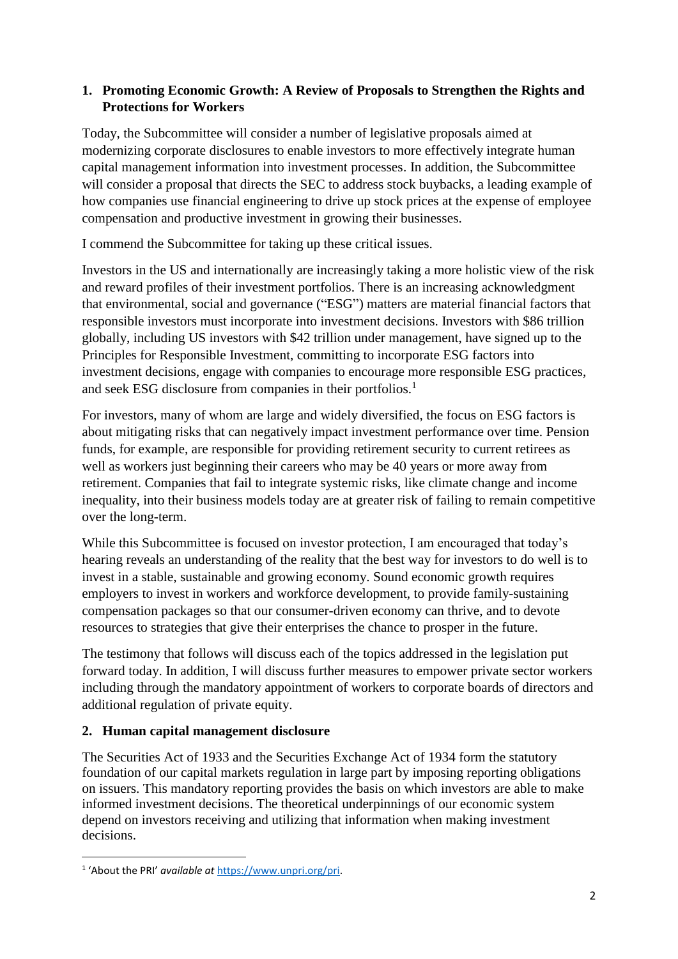# **1. Promoting Economic Growth: A Review of Proposals to Strengthen the Rights and Protections for Workers**

Today, the Subcommittee will consider a number of legislative proposals aimed at modernizing corporate disclosures to enable investors to more effectively integrate human capital management information into investment processes. In addition, the Subcommittee will consider a proposal that directs the SEC to address stock buybacks, a leading example of how companies use financial engineering to drive up stock prices at the expense of employee compensation and productive investment in growing their businesses.

I commend the Subcommittee for taking up these critical issues.

Investors in the US and internationally are increasingly taking a more holistic view of the risk and reward profiles of their investment portfolios. There is an increasing acknowledgment that environmental, social and governance ("ESG") matters are material financial factors that responsible investors must incorporate into investment decisions. Investors with \$86 trillion globally, including US investors with \$42 trillion under management, have signed up to the Principles for Responsible Investment, committing to incorporate ESG factors into investment decisions, engage with companies to encourage more responsible ESG practices, and seek ESG disclosure from companies in their portfolios.<sup>1</sup>

For investors, many of whom are large and widely diversified, the focus on ESG factors is about mitigating risks that can negatively impact investment performance over time. Pension funds, for example, are responsible for providing retirement security to current retirees as well as workers just beginning their careers who may be 40 years or more away from retirement. Companies that fail to integrate systemic risks, like climate change and income inequality, into their business models today are at greater risk of failing to remain competitive over the long-term.

While this Subcommittee is focused on investor protection, I am encouraged that today's hearing reveals an understanding of the reality that the best way for investors to do well is to invest in a stable, sustainable and growing economy. Sound economic growth requires employers to invest in workers and workforce development, to provide family-sustaining compensation packages so that our consumer-driven economy can thrive, and to devote resources to strategies that give their enterprises the chance to prosper in the future.

The testimony that follows will discuss each of the topics addressed in the legislation put forward today. In addition, I will discuss further measures to empower private sector workers including through the mandatory appointment of workers to corporate boards of directors and additional regulation of private equity.

# **2. Human capital management disclosure**

The Securities Act of 1933 and the Securities Exchange Act of 1934 form the statutory foundation of our capital markets regulation in large part by imposing reporting obligations on issuers. This mandatory reporting provides the basis on which investors are able to make informed investment decisions. The theoretical underpinnings of our economic system depend on investors receiving and utilizing that information when making investment decisions.

**.** 

<sup>&</sup>lt;sup>1</sup> 'About the PRI' *available at* [https://www.unpri.org/pri.](https://www.unpri.org/pri)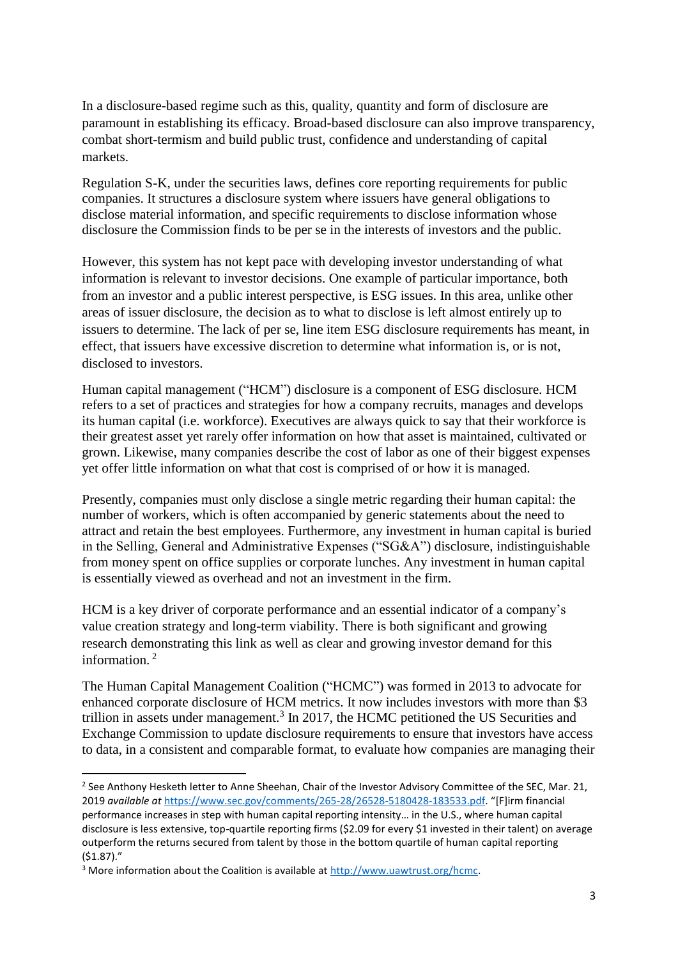In a disclosure-based regime such as this, quality, quantity and form of disclosure are paramount in establishing its efficacy. Broad-based disclosure can also improve transparency, combat short-termism and build public trust, confidence and understanding of capital markets.

Regulation S-K, under the securities laws, defines core reporting requirements for public companies. It structures a disclosure system where issuers have general obligations to disclose material information, and specific requirements to disclose information whose disclosure the Commission finds to be per se in the interests of investors and the public.

However, this system has not kept pace with developing investor understanding of what information is relevant to investor decisions. One example of particular importance, both from an investor and a public interest perspective, is ESG issues. In this area, unlike other areas of issuer disclosure, the decision as to what to disclose is left almost entirely up to issuers to determine. The lack of per se, line item ESG disclosure requirements has meant, in effect, that issuers have excessive discretion to determine what information is, or is not, disclosed to investors.

Human capital management ("HCM") disclosure is a component of ESG disclosure. HCM refers to a set of practices and strategies for how a company recruits, manages and develops its human capital (i.e. workforce). Executives are always quick to say that their workforce is their greatest asset yet rarely offer information on how that asset is maintained, cultivated or grown. Likewise, many companies describe the cost of labor as one of their biggest expenses yet offer little information on what that cost is comprised of or how it is managed.

Presently, companies must only disclose a single metric regarding their human capital: the number of workers, which is often accompanied by generic statements about the need to attract and retain the best employees. Furthermore, any investment in human capital is buried in the Selling, General and Administrative Expenses ("SG&A") disclosure, indistinguishable from money spent on office supplies or corporate lunches. Any investment in human capital is essentially viewed as overhead and not an investment in the firm.

HCM is a key driver of corporate performance and an essential indicator of a company's value creation strategy and long-term viability. There is both significant and growing research demonstrating this link as well as clear and growing investor demand for this information. 2

The Human Capital Management Coalition ("HCMC") was formed in 2013 to advocate for enhanced corporate disclosure of HCM metrics. It now includes investors with more than \$3 trillion in assets under management.<sup>3</sup> In 2017, the HCMC petitioned the US Securities and Exchange Commission to update disclosure requirements to ensure that investors have access to data, in a consistent and comparable format, to evaluate how companies are managing their

**.** 

<sup>&</sup>lt;sup>2</sup> See Anthony Hesketh letter to Anne Sheehan, Chair of the Investor Advisory Committee of the SEC, Mar. 21, 2019 *available at* [https://www.sec.gov/comments/265-28/26528-5180428-183533.pdf.](https://www.sec.gov/comments/265-28/26528-5180428-183533.pdf) "[F]irm financial performance increases in step with human capital reporting intensity… in the U.S., where human capital disclosure is less extensive, top-quartile reporting firms (\$2.09 for every \$1 invested in their talent) on average outperform the returns secured from talent by those in the bottom quartile of human capital reporting (\$1.87)."

<sup>&</sup>lt;sup>3</sup> More information about the Coalition is available at [http://www.uawtrust.org/hcmc.](http://www.uawtrust.org/hcmc)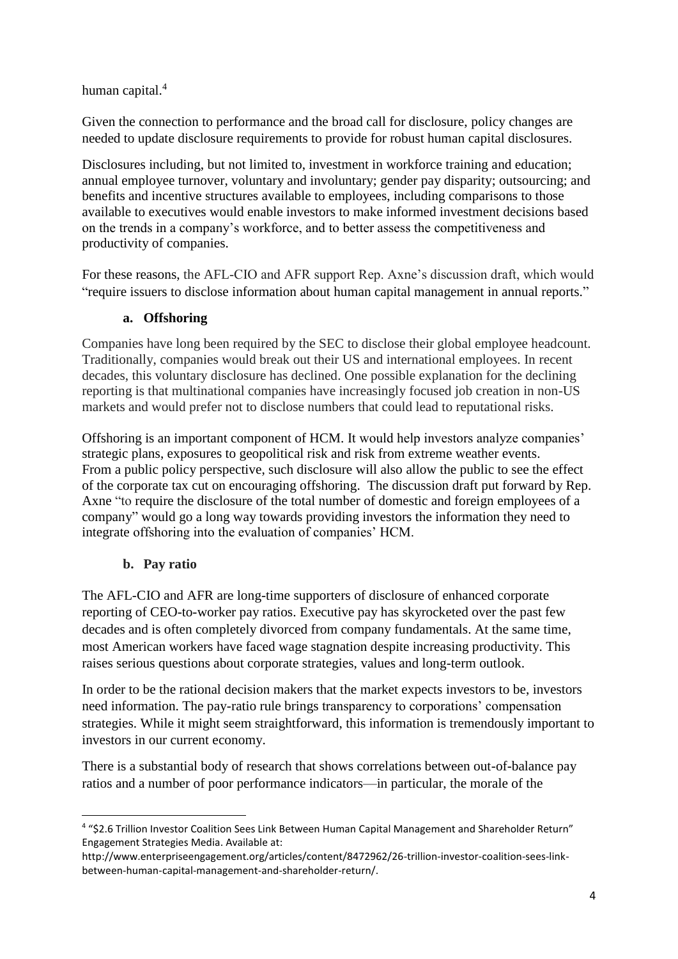## human capital.<sup>4</sup>

Given the connection to performance and the broad call for disclosure, policy changes are needed to update disclosure requirements to provide for robust human capital disclosures.

Disclosures including, but not limited to, investment in workforce training and education; annual employee turnover, voluntary and involuntary; gender pay disparity; outsourcing; and benefits and incentive structures available to employees, including comparisons to those available to executives would enable investors to make informed investment decisions based on the trends in a company's workforce, and to better assess the competitiveness and productivity of companies.

For these reasons, the AFL-CIO and AFR support Rep. Axne's discussion draft, which would "require issuers to disclose information about human capital management in annual reports."

# **a. Offshoring**

Companies have long been required by the SEC to disclose their global employee headcount. Traditionally, companies would break out their US and international employees. In recent decades, this voluntary disclosure has declined. One possible explanation for the declining reporting is that multinational companies have increasingly focused job creation in non-US markets and would prefer not to disclose numbers that could lead to reputational risks.

Offshoring is an important component of HCM. It would help investors analyze companies' strategic plans, exposures to geopolitical risk and risk from extreme weather events. From a public policy perspective, such disclosure will also allow the public to see the effect of the corporate tax cut on encouraging offshoring. The discussion draft put forward by Rep. Axne "to require the disclosure of the total number of domestic and foreign employees of a company" would go a long way towards providing investors the information they need to integrate offshoring into the evaluation of companies' HCM.

## **b. Pay ratio**

 $\overline{a}$ 

The AFL-CIO and AFR are long-time supporters of disclosure of enhanced corporate reporting of CEO-to-worker pay ratios. Executive pay has skyrocketed over the past few decades and is often completely divorced from company fundamentals. At the same time, most American workers have faced wage stagnation despite increasing productivity. This raises serious questions about corporate strategies, values and long-term outlook.

In order to be the rational decision makers that the market expects investors to be, investors need information. The pay-ratio rule brings transparency to corporations' compensation strategies. While it might seem straightforward, this information is tremendously important to investors in our current economy.

There is a substantial body of research that shows correlations between out-of-balance pay ratios and a number of poor performance indicators—in particular, the morale of the

<sup>4</sup> "\$2.6 Trillion Investor Coalition Sees Link Between Human Capital Management and Shareholder Return" Engagement Strategies Media. Available at:

http://www.enterpriseengagement.org/articles/content/8472962/26-trillion-investor-coalition-sees-linkbetween-human-capital-management-and-shareholder-return/.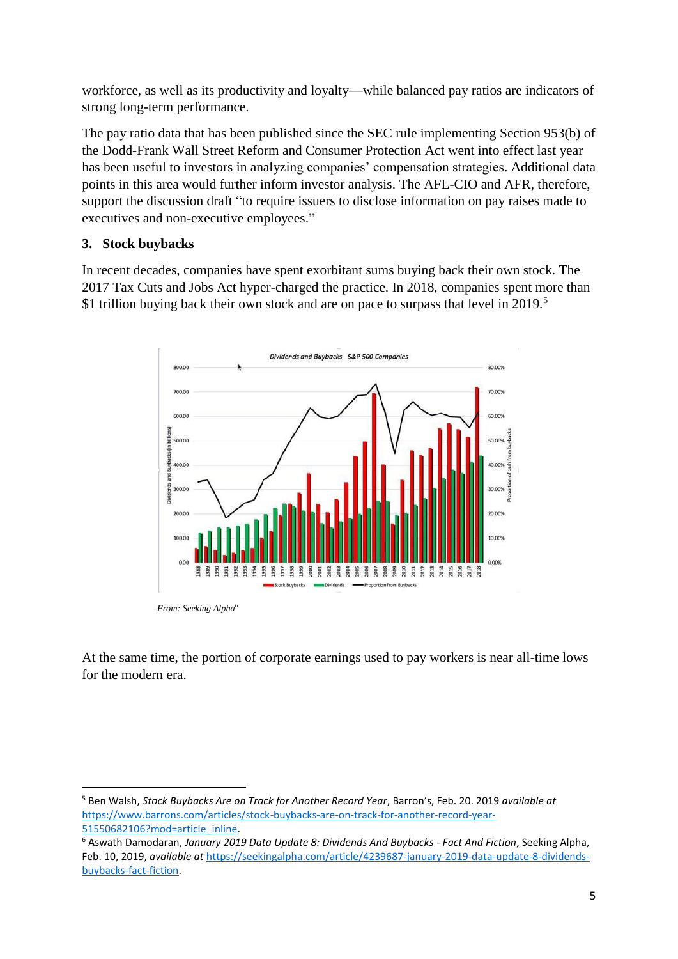workforce, as well as its productivity and loyalty—while balanced pay ratios are indicators of strong long-term performance.

The pay ratio data that has been published since the SEC rule implementing Section 953(b) of the Dodd-Frank Wall Street Reform and Consumer Protection Act went into effect last year has been useful to investors in analyzing companies' compensation strategies. Additional data points in this area would further inform investor analysis. The AFL-CIO and AFR, therefore, support the discussion draft "to require issuers to disclose information on pay raises made to executives and non-executive employees."

# **3. Stock buybacks**

In recent decades, companies have spent exorbitant sums buying back their own stock. The 2017 Tax Cuts and Jobs Act hyper-charged the practice. In 2018, companies spent more than \$1 trillion buying back their own stock and are on pace to surpass that level in 2019.<sup>5</sup>



*From: Seeking Alpha<sup>6</sup>*

At the same time, the portion of corporate earnings used to pay workers is near all-time lows for the modern era.

**<sup>.</sup>** <sup>5</sup> Ben Walsh, *Stock Buybacks Are on Track for Another Record Year*, Barron's, Feb. 20. 2019 *available at*  [https://www.barrons.com/articles/stock-buybacks-are-on-track-for-another-record-year-](https://www.barrons.com/articles/stock-buybacks-are-on-track-for-another-record-year-51550682106?mod=article_inline)[51550682106?mod=article\\_inline.](https://www.barrons.com/articles/stock-buybacks-are-on-track-for-another-record-year-51550682106?mod=article_inline)

<sup>6</sup> Aswath Damodaran, *January 2019 Data Update 8: Dividends And Buybacks - Fact And Fiction*, Seeking Alpha, Feb. 10, 2019, *available at* [https://seekingalpha.com/article/4239687-january-2019-data-update-8-dividends](https://seekingalpha.com/article/4239687-january-2019-data-update-8-dividends-buybacks-fact-fiction)[buybacks-fact-fiction.](https://seekingalpha.com/article/4239687-january-2019-data-update-8-dividends-buybacks-fact-fiction)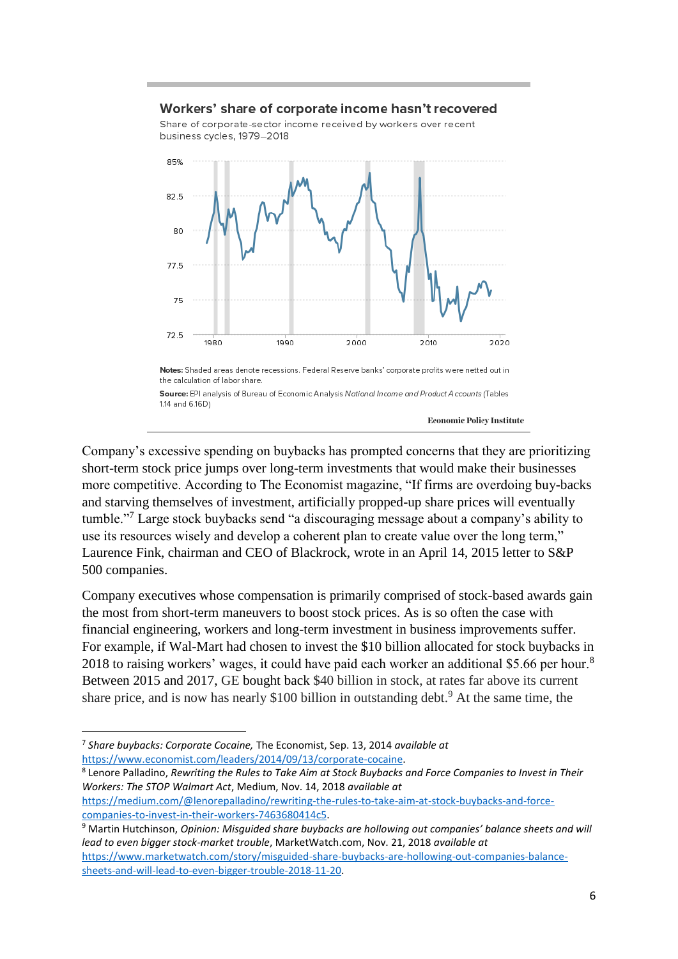#### Workers' share of corporate income hasn't recovered

Share of corporate-sector income received by workers over recent business cycles, 1979-2018



Company's excessive spending on buybacks has prompted concerns that they are prioritizing short-term stock price jumps over long-term investments that would make their businesses more competitive. According to The Economist magazine, "If firms are overdoing buy-backs and starving themselves of investment, artificially propped-up share prices will eventually tumble."<sup>7</sup> Large stock buybacks send "a discouraging message about a company's ability to use its resources wisely and develop a coherent plan to create value over the long term," Laurence Fink, chairman and CEO of Blackrock, wrote in an April 14, 2015 letter to S&P 500 companies.

Company executives whose compensation is primarily comprised of stock-based awards gain the most from short-term maneuvers to boost stock prices. As is so often the case with financial engineering, workers and long-term investment in business improvements suffer. For example, if Wal-Mart had chosen to invest the \$10 billion allocated for stock buybacks in 2018 to raising workers' wages, it could have paid each worker an additional \$5.66 per hour.<sup>8</sup> Between 2015 and 2017, GE bought back \$40 billion in stock, at rates far above its current share price, and is now has nearly \$100 billion in outstanding debt.<sup>9</sup> At the same time, the

1

8 Lenore Palladino, *Rewriting the Rules to Take Aim at Stock Buybacks and Force Companies to Invest in Their Workers: The STOP Walmart Act*, Medium, Nov. 14, 2018 *available at* [https://medium.com/@lenorepalladino/rewriting-the-rules-to-take-aim-at-stock-buybacks-and-force](https://medium.com/@lenorepalladino/rewriting-the-rules-to-take-aim-at-stock-buybacks-and-force-companies-to-invest-in-their-workers-7463680414c5)[companies-to-invest-in-their-workers-7463680414c5.](https://medium.com/@lenorepalladino/rewriting-the-rules-to-take-aim-at-stock-buybacks-and-force-companies-to-invest-in-their-workers-7463680414c5)

<sup>7</sup> *Share buybacks: Corporate Cocaine,* The Economist, Sep. 13, 2014 *available at*  [https://www.economist.com/leaders/2014/09/13/corporate-cocaine.](https://www.economist.com/leaders/2014/09/13/corporate-cocaine)

<sup>9</sup> Martin Hutchinson, *Opinion: Misguided share buybacks are hollowing out companies' balance sheets and will lead to even bigger stock-market trouble*, MarketWatch.com, Nov. 21, 2018 *available at*  [https://www.marketwatch.com/story/misguided-share-buybacks-are-hollowing-out-companies-balance](https://www.marketwatch.com/story/misguided-share-buybacks-are-hollowing-out-companies-balance-sheets-and-will-lead-to-even-bigger-trouble-2018-11-20)[sheets-and-will-lead-to-even-bigger-trouble-2018-11-20.](https://www.marketwatch.com/story/misguided-share-buybacks-are-hollowing-out-companies-balance-sheets-and-will-lead-to-even-bigger-trouble-2018-11-20)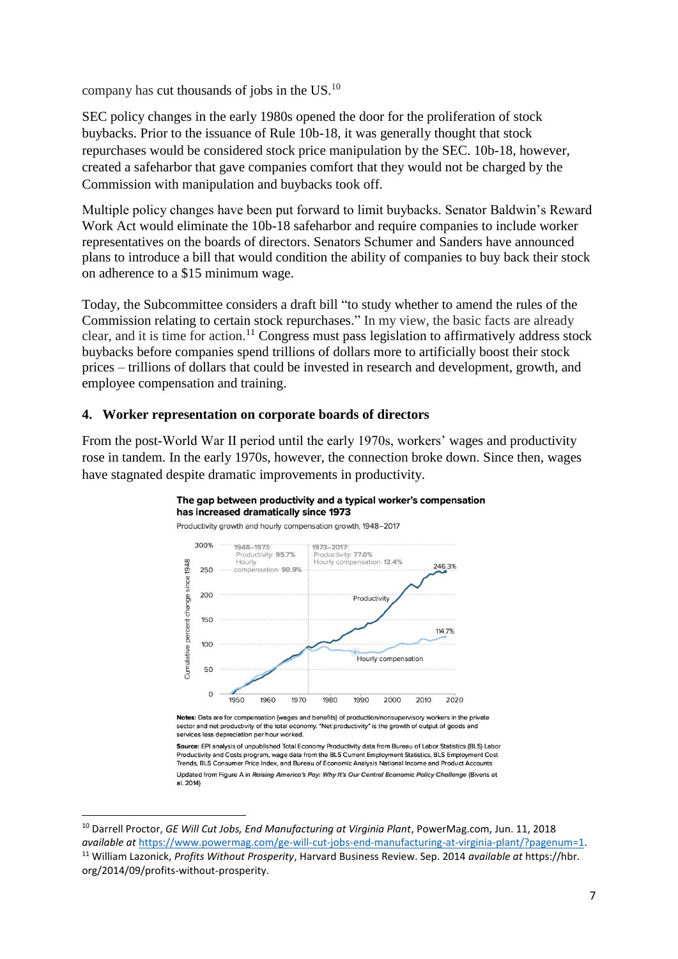company has cut thousands of jobs in the  $US$ .<sup>10</sup>

SEC policy changes in the early 1980s opened the door for the proliferation of stock buybacks. Prior to the issuance of Rule 10b-18, it was generally thought that stock repurchases would be considered stock price manipulation by the SEC. 10b-18, however, created a safeharbor that gave companies comfort that they would not be charged by the Commission with manipulation and buybacks took off.

Multiple policy changes have been put forward to limit buybacks. Senator Baldwin's Reward Work Act would eliminate the 10b-18 safeharbor and require companies to include worker representatives on the boards of directors. Senators Schumer and Sanders have announced plans to introduce a bill that would condition the ability of companies to buy back their stock on adherence to a \$15 minimum wage.

Today, the Subcommittee considers a draft bill "to study whether to amend the rules of the Commission relating to certain stock repurchases." In my view, the basic facts are already clear, and it is time for action.<sup>11</sup> Congress must pass legislation to affirmatively address stock buybacks before companies spend trillions of dollars more to artificially boost their stock prices – trillions of dollars that could be invested in research and development, growth, and employee compensation and training.

#### **4. Worker representation on corporate boards of directors**

 $\overline{a}$ 

From the post-World War II period until the early 1970s, workers' wages and productivity rose in tandem. In the early 1970s, however, the connection broke down. Since then, wages have stagnated despite dramatic improvements in productivity.

#### The gap between productivity and a typical worker's compensation has increased dramatically since 1973



Notes: Data are for compensation (wages and benefits) of production/nonsupervisory workers in the private sector and net productivity of the total economy. "Net productivity" is the growth of output of goods and services less depreciation per hour worked.

Source: EPI analysis of unpublished Total Economy Productivity data from Bureau of Labor Statistics (BLS) Labor Productivity and Costs program, wage data from the BLS Current Employment Statistics, BLS Employment Cost Trends, BLS Consumer Price Index, and Bureau of Economic Analysis National Income and Product Accounts Updated from Figure A in Raising America's Pay: Why It's Our Central Economic Policy Challenge (Bivens et al. 2014)

<sup>10</sup> Darrell Proctor, *GE Will Cut Jobs, End Manufacturing at Virginia Plant*, PowerMag.com, Jun. 11, 2018 *available at* [https://www.powermag.com/ge-will-cut-jobs-end-manufacturing-at-virginia-plant/?pagenum=1.](https://www.powermag.com/ge-will-cut-jobs-end-manufacturing-at-virginia-plant/?pagenum=1) <sup>11</sup> William Lazonick, *Profits Without Prosperity*, Harvard Business Review. Sep. 2014 *available at* https://hbr. org/2014/09/profits-without-prosperity.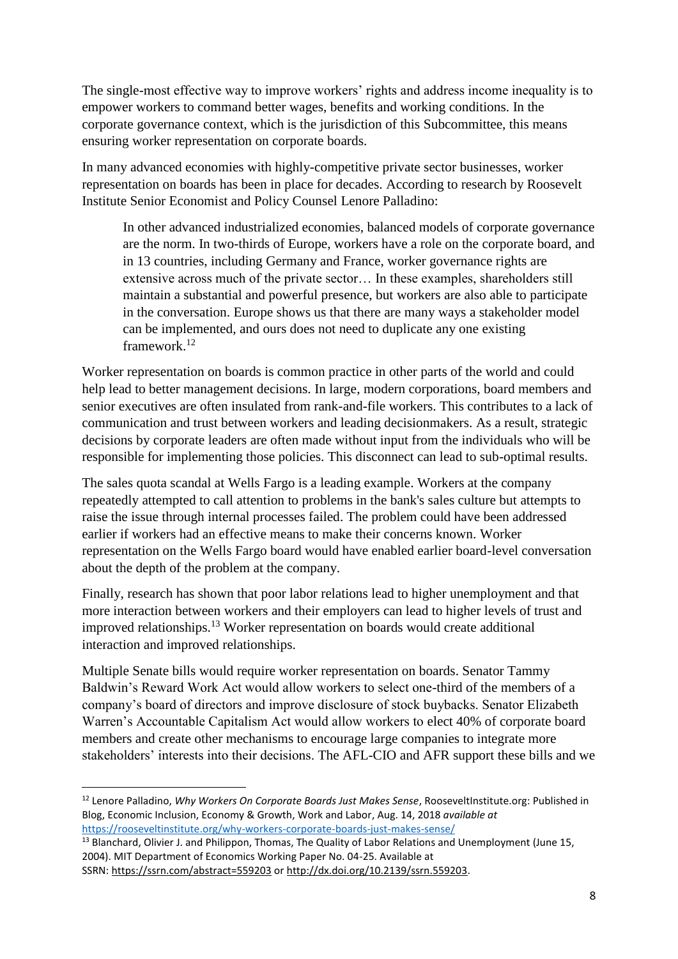The single-most effective way to improve workers' rights and address income inequality is to empower workers to command better wages, benefits and working conditions. In the corporate governance context, which is the jurisdiction of this Subcommittee, this means ensuring worker representation on corporate boards.

In many advanced economies with highly-competitive private sector businesses, worker representation on boards has been in place for decades. According to research by Roosevelt Institute Senior Economist and Policy Counsel Lenore Palladino:

In other advanced industrialized economies, balanced models of corporate governance are the norm. In two-thirds of Europe, workers have a role on the corporate board, and in 13 countries, including Germany and France, worker governance rights are extensive across much of the private sector… In these examples, shareholders still maintain a substantial and powerful presence, but workers are also able to participate in the conversation. Europe shows us that there are many ways a stakeholder model can be implemented, and ours does not need to duplicate any one existing framework.<sup>12</sup>

Worker representation on boards is common practice in other parts of the world and could help lead to better management decisions. In large, modern corporations, board members and senior executives are often insulated from rank-and-file workers. This contributes to a lack of communication and trust between workers and leading decisionmakers. As a result, strategic decisions by corporate leaders are often made without input from the individuals who will be responsible for implementing those policies. This disconnect can lead to sub-optimal results.

The sales quota scandal at Wells Fargo is a leading example. Workers at the company repeatedly attempted to call attention to problems in the bank's sales culture but attempts to raise the issue through internal processes failed. The problem could have been addressed earlier if workers had an effective means to make their concerns known. Worker representation on the Wells Fargo board would have enabled earlier board-level conversation about the depth of the problem at the company.

Finally, research has shown that poor labor relations lead to higher unemployment and that more interaction between workers and their employers can lead to higher levels of trust and improved relationships.<sup>13</sup> Worker representation on boards would create additional interaction and improved relationships.

Multiple Senate bills would require worker representation on boards. Senator Tammy Baldwin's Reward Work Act would allow workers to select one-third of the members of a company's board of directors and improve disclosure of stock buybacks. Senator Elizabeth Warren's Accountable Capitalism Act would allow workers to elect 40% of corporate board members and create other mechanisms to encourage large companies to integrate more stakeholders' interests into their decisions. The AFL-CIO and AFR support these bills and we

**<sup>.</sup>** <sup>12</sup> Lenore Palladino, *Why Workers On Corporate Boards Just Makes Sense*, RooseveltInstitute.org: Published in Blog, Economic Inclusion, Economy & Growth, Work and Labor, Aug. 14, 2018 *available at* <https://rooseveltinstitute.org/why-workers-corporate-boards-just-makes-sense/>

<sup>&</sup>lt;sup>13</sup> Blanchard, Olivier J. and Philippon, Thomas, The Quality of Labor Relations and Unemployment (June 15, 2004). MIT Department of Economics Working Paper No. 04-25. Available at SSRN: <https://ssrn.com/abstract=559203> or [http://dx.doi.org/10.2139/ssrn.559203.](https://dx.doi.org/10.2139/ssrn.559203)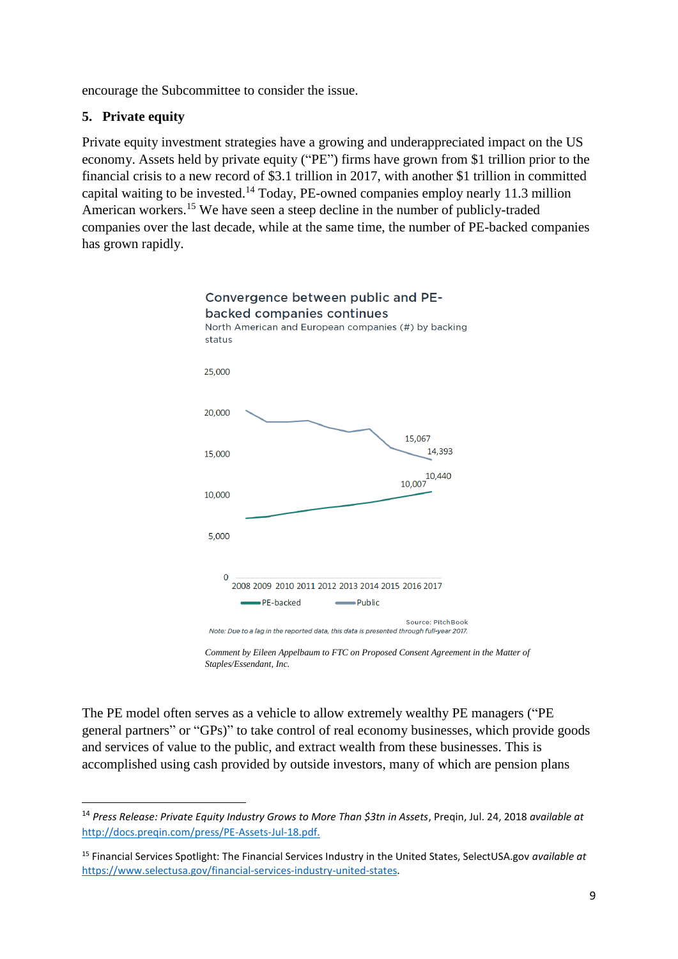encourage the Subcommittee to consider the issue.

# **5. Private equity**

1

Private equity investment strategies have a growing and underappreciated impact on the US economy. Assets held by private equity ("PE") firms have grown from \$1 trillion prior to the financial crisis to a new record of \$3.1 trillion in 2017, with another \$1 trillion in committed capital waiting to be invested.<sup>14</sup> Today, PE-owned companies employ nearly 11.3 million American workers.<sup>15</sup> We have seen a steep decline in the number of publicly-traded companies over the last decade, while at the same time, the number of PE-backed companies has grown rapidly.



*Comment by Eileen Appelbaum to FTC on Proposed Consent Agreement in the Matter of Staples/Essendant, Inc.*

The PE model often serves as a vehicle to allow extremely wealthy PE managers ("PE general partners" or "GPs)" to take control of real economy businesses, which provide goods and services of value to the public, and extract wealth from these businesses. This is accomplished using cash provided by outside investors, many of which are pension plans

<sup>14</sup> *Press Release: Private Equity Industry Grows to More Than \$3tn in Assets*, Preqin, Jul. 24, 2018 *available at* [http://docs.preqin.com/press/PE-Assets-Jul-18.pdf.](http://docs.preqin.com/press/PE-Assets-Jul-18.pdf)

<sup>15</sup> Financial Services Spotlight: The Financial Services Industry in the United States, SelectUSA.gov *available at*  [https://www.selectusa.gov/financial-services-industry-united-states.](https://www.selectusa.gov/financial-services-industry-united-states)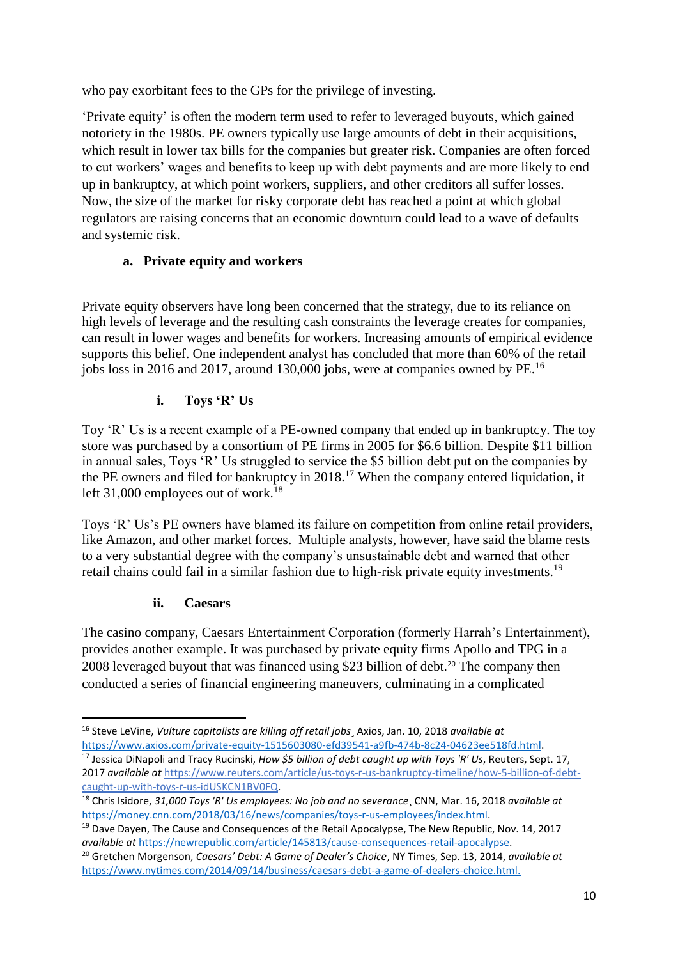who pay exorbitant fees to the GPs for the privilege of investing.

'Private equity' is often the modern term used to refer to leveraged buyouts, which gained notoriety in the 1980s. PE owners typically use large amounts of debt in their acquisitions, which result in lower tax bills for the companies but greater risk. Companies are often forced to cut workers' wages and benefits to keep up with debt payments and are more likely to end up in bankruptcy, at which point workers, suppliers, and other creditors all suffer losses. Now, the size of the market for risky corporate debt has reached a point at which global regulators are raising concerns that an economic downturn could lead to a wave of defaults and systemic risk.

# **a. Private equity and workers**

Private equity observers have long been concerned that the strategy, due to its reliance on high levels of leverage and the resulting cash constraints the leverage creates for companies, can result in lower wages and benefits for workers. Increasing amounts of empirical evidence supports this belief. One independent analyst has concluded that more than 60% of the retail jobs loss in 2016 and 2017, around 130,000 jobs, were at companies owned by PE.<sup>16</sup>

# **i. Toys 'R' Us**

Toy 'R' Us is a recent example of a PE-owned company that ended up in bankruptcy. The toy store was purchased by a consortium of PE firms in 2005 for \$6.6 billion. Despite \$11 billion in annual sales, Toys 'R' Us struggled to service the \$5 billion debt put on the companies by the PE owners and filed for bankruptcy in  $2018$ .<sup>17</sup> When the company entered liquidation, it left 31,000 employees out of work.<sup>18</sup>

Toys 'R' Us's PE owners have blamed its failure on competition from online retail providers, like Amazon, and other market forces. Multiple analysts, however, have said the blame rests to a very substantial degree with the company's unsustainable debt and warned that other retail chains could fail in a similar fashion due to high-risk private equity investments.<sup>19</sup>

## **ii. Caesars**

 $\overline{a}$ 

The casino company, Caesars Entertainment Corporation (formerly Harrah's Entertainment), provides another example. It was purchased by private equity firms Apollo and TPG in a 2008 leveraged buyout that was financed using \$23 billion of debt.<sup>20</sup> The company then conducted a series of financial engineering maneuvers, culminating in a complicated

<sup>16</sup> Steve LeVine, *Vulture capitalists are killing off retail jobs*¸ Axios, Jan. 10, 2018 *available at*  [https://www.axios.com/private-equity-1515603080-efd39541-a9fb-474b-8c24-04623ee518fd.html.](https://www.axios.com/private-equity-1515603080-efd39541-a9fb-474b-8c24-04623ee518fd.html) 

<sup>17</sup> Jessica DiNapoli and Tracy Rucinski, *How \$5 billion of debt caught up with Toys 'R' Us*, Reuters, Sept. 17, 2017 *available at* [https://www.reuters.com/article/us-toys-r-us-bankruptcy-timeline/how-5-billion-of-debt](https://www.reuters.com/article/us-toys-r-us-bankruptcy-timeline/how-5-billion-of-debt-caught-up-with-toys-r-us-idUSKCN1BV0FQ)[caught-up-with-toys-r-us-idUSKCN1BV0FQ.](https://www.reuters.com/article/us-toys-r-us-bankruptcy-timeline/how-5-billion-of-debt-caught-up-with-toys-r-us-idUSKCN1BV0FQ) 

<sup>18</sup> Chris Isidore, *31,000 Toys 'R' Us employees: No job and no severance*¸ CNN, Mar. 16, 2018 *available at*  [https://money.cnn.com/2018/03/16/news/companies/toys-r-us-employees/index.html.](https://money.cnn.com/2018/03/16/news/companies/toys-r-us-employees/index.html)

<sup>&</sup>lt;sup>19</sup> Dave Dayen, The Cause and Consequences of the Retail Apocalypse, The New Republic, Nov. 14, 2017 *available at* [https://newrepublic.com/article/145813/cause-consequences-retail-apocalypse.](https://newrepublic.com/article/145813/cause-consequences-retail-apocalypse)

<sup>20</sup> Gretchen Morgenson, *Caesars' Debt: A Game of Dealer's Choice*, NY Times, Sep. 13, 2014, *available at* [https://www.nytimes.com/2014/09/14/business/caesars-debt-a-game-of-dealers-choice.html.](https://www.nytimes.com/2014/09/14/business/caesars-debt-a-game-of-dealers-choice.html)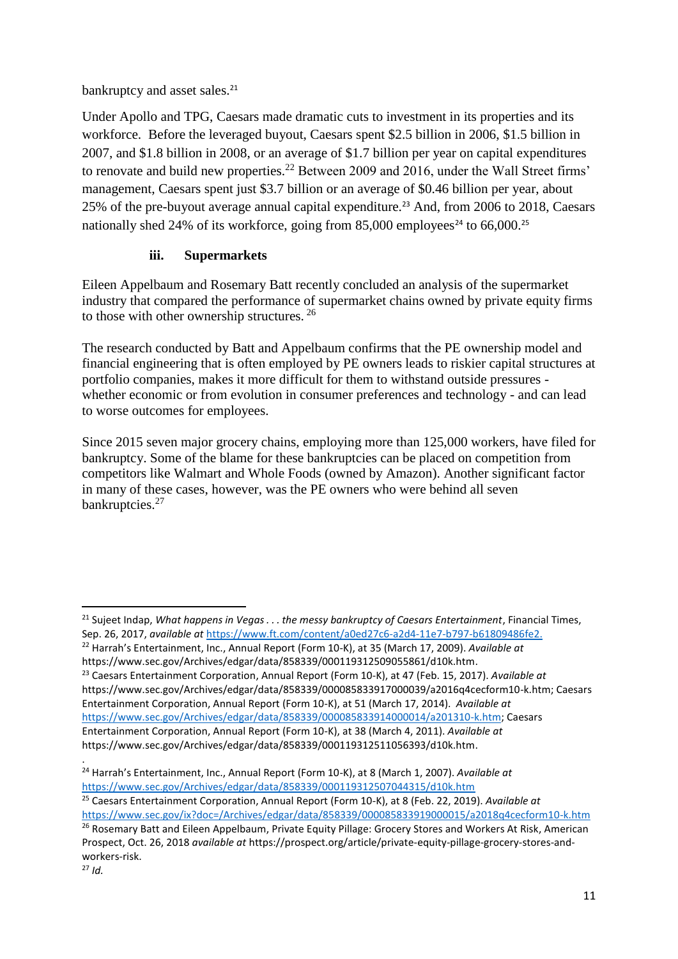bankruptcy and asset sales.<sup>21</sup>

Under Apollo and TPG, Caesars made dramatic cuts to investment in its properties and its workforce. Before the leveraged buyout, Caesars spent \$2.5 billion in 2006, \$1.5 billion in 2007, and \$1.8 billion in 2008, or an average of \$1.7 billion per year on capital expenditures to renovate and build new properties.<sup>22</sup> Between 2009 and 2016, under the Wall Street firms' management, Caesars spent just \$3.7 billion or an average of \$0.46 billion per year, about 25% of the pre-buyout average annual capital expenditure.<sup>23</sup> And, from 2006 to 2018, Caesars nationally shed 24% of its workforce, going from  $85,000$  employees<sup>24</sup> to 66,000.<sup>25</sup>

# **iii. Supermarkets**

Eileen Appelbaum and Rosemary Batt recently concluded an analysis of the supermarket industry that compared the performance of supermarket chains owned by private equity firms to those with other ownership structures. <sup>26</sup>

The research conducted by Batt and Appelbaum confirms that the PE ownership model and financial engineering that is often employed by PE owners leads to riskier capital structures at portfolio companies, makes it more difficult for them to withstand outside pressures whether economic or from evolution in consumer preferences and technology - and can lead to worse outcomes for employees.

Since 2015 seven major grocery chains, employing more than 125,000 workers, have filed for bankruptcy. Some of the blame for these bankruptcies can be placed on competition from competitors like Walmart and Whole Foods (owned by Amazon). Another significant factor in many of these cases, however, was the PE owners who were behind all seven bankruptcies.<sup>27</sup>

<sup>22</sup> Harrah's Entertainment, Inc., Annual Report (Form 10-K), at 35 (March 17, 2009). *Available at* https://www.sec.gov/Archives/edgar/data/858339/000119312509055861/d10k.htm.

<sup>23</sup> Caesars Entertainment Corporation, Annual Report (Form 10-K), at 47 (Feb. 15, 2017). *Available at* https://www.sec.gov/Archives/edgar/data/858339/000085833917000039/a2016q4cecform10-k.htm; Caesars Entertainment Corporation, Annual Report (Form 10-K), at 51 (March 17, 2014). *Available at* [https://www.sec.gov/Archives/edgar/data/858339/000085833914000014/a201310-k.htm;](https://www.sec.gov/Archives/edgar/data/858339/000085833914000014/a201310-k.htm) Caesars Entertainment Corporation, Annual Report (Form 10-K), at 38 (March 4, 2011). *Available at* https://www.sec.gov/Archives/edgar/data/858339/000119312511056393/d10k.htm.

**<sup>.</sup>** <sup>21</sup> Sujeet Indap, *What happens in Vegas* . . . the messy bankruptcy of Caesars Entertainment. Financial Times, Sep. 26, 2017, *available at* [https://www.ft.com/content/a0ed27c6-a2d4-11e7-b797-b61809486fe2.](https://www.ft.com/content/a0ed27c6-a2d4-11e7-b797-b61809486fe2)

<sup>.</sup> <sup>24</sup> Harrah's Entertainment, Inc., Annual Report (Form 10-K), at 8 (March 1, 2007). *Available at* <https://www.sec.gov/Archives/edgar/data/858339/000119312507044315/d10k.htm> <sup>25</sup> Caesars Entertainment Corporation, Annual Report (Form 10-K), at 8 (Feb. 22, 2019). *Available at* <https://www.sec.gov/ix?doc=/Archives/edgar/data/858339/000085833919000015/a2018q4cecform10-k.htm>

<sup>&</sup>lt;sup>26</sup> Rosemary Batt and Eileen Appelbaum, Private Equity Pillage: Grocery Stores and Workers At Risk, American Prospect, Oct. 26, 2018 *available at* https://prospect.org/article/private-equity-pillage-grocery-stores-andworkers-risk.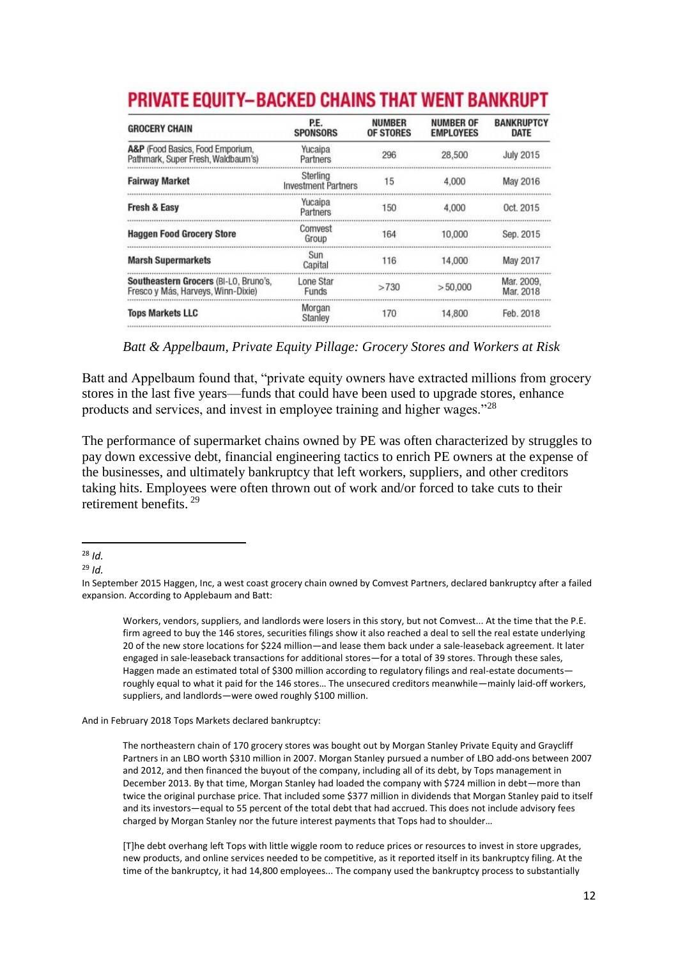| <b>GROCERY CHAIN</b>                                                        | P.E.<br><b>SPONSORS</b>                | <b>NUMBER</b><br><b>OF STORES</b> | <b>NUMBER OF</b><br><b>EMPLOYEES</b> | <b>BANKRUPTCY</b><br>DATE |
|-----------------------------------------------------------------------------|----------------------------------------|-----------------------------------|--------------------------------------|---------------------------|
| A&P (Food Basics, Food Emporium,<br>Pathmark, Super Fresh, Waldbaum's)      | Yucaipa<br>Partners                    | 296                               | 28,500                               | <b>July 2015</b>          |
| <b>Fairway Market</b>                                                       | Sterling<br><b>Investment Partners</b> | 15                                | 4.000                                | May 2016                  |
| Fresh & Easy                                                                | Yucaipa<br>Partners                    | 150                               | 4.000                                | Oct. 2015                 |
| <b>Haggen Food Grocery Store</b>                                            | Comvest<br>Group                       | 164                               | 10,000                               | Sep. 2015                 |
| <b>Marsh Supermarkets</b>                                                   | Sun<br>Capital                         | 116                               | 14.000                               | May 2017                  |
| Southeastern Grocers (BI-LO, Bruno's,<br>Fresco y Más, Harveys, Winn-Dixie) | Lone Star<br><b>Funds</b>              | >730                              | > 50,000                             | Mar. 2009.<br>Mar 2018    |
| <b>Tops Markets LLC</b>                                                     | Morgan<br>Stanley                      | 170                               | 14.800                               | Feb. 2018                 |

# **PRIVATE EQUITY-BACKED CHAINS THAT WENT BANKRUPT**

 *Batt & Appelbaum, Private Equity Pillage: Grocery Stores and Workers at Risk*

Batt and Appelbaum found that, "private equity owners have extracted millions from grocery stores in the last five years—funds that could have been used to upgrade stores, enhance products and services, and invest in employee training and higher wages."<sup>28</sup>

The performance of supermarket chains owned by PE was often characterized by struggles to pay down excessive debt, financial engineering tactics to enrich PE owners at the expense of the businesses, and ultimately bankruptcy that left workers, suppliers, and other creditors taking hits. Employees were often thrown out of work and/or forced to take cuts to their retirement benefits. <sup>29</sup>

<sup>29</sup> *Id.*

Workers, vendors, suppliers, and landlords were losers in this story, but not Comvest... At the time that the P.E. firm agreed to buy the 146 stores, securities filings show it also reached a deal to sell the real estate underlying 20 of the new store locations for \$224 million—and lease them back under a sale-leaseback agreement. It later engaged in sale-leaseback transactions for additional stores—for a total of 39 stores. Through these sales, Haggen made an estimated total of \$300 million according to regulatory filings and real-estate documents roughly equal to what it paid for the 146 stores… The unsecured creditors meanwhile—mainly laid-off workers, suppliers, and landlords—were owed roughly \$100 million.

And in February 2018 Tops Markets declared bankruptcy:

The northeastern chain of 170 grocery stores was bought out by Morgan Stanley Private Equity and Graycliff Partners in an LBO worth \$310 million in 2007. Morgan Stanley pursued a number of LBO add-ons between 2007 and 2012, and then financed the buyout of the company, including all of its debt, by Tops management in December 2013. By that time, Morgan Stanley had loaded the company with \$724 million in debt—more than twice the original purchase price. That included some \$377 million in dividends that Morgan Stanley paid to itself and its investors—equal to 55 percent of the total debt that had accrued. This does not include advisory fees charged by Morgan Stanley nor the future interest payments that Tops had to shoulder…

[T]he debt overhang left Tops with little wiggle room to reduce prices or resources to invest in store upgrades, new products, and online services needed to be competitive, as it reported itself in its bankruptcy filing. At the time of the bankruptcy, it had 14,800 employees... The company used the bankruptcy process to substantially

**<sup>.</sup>** <sup>28</sup> *Id.*

In September 2015 Haggen, Inc, a west coast grocery chain owned by Comvest Partners, declared bankruptcy after a failed expansion. According to Applebaum and Batt: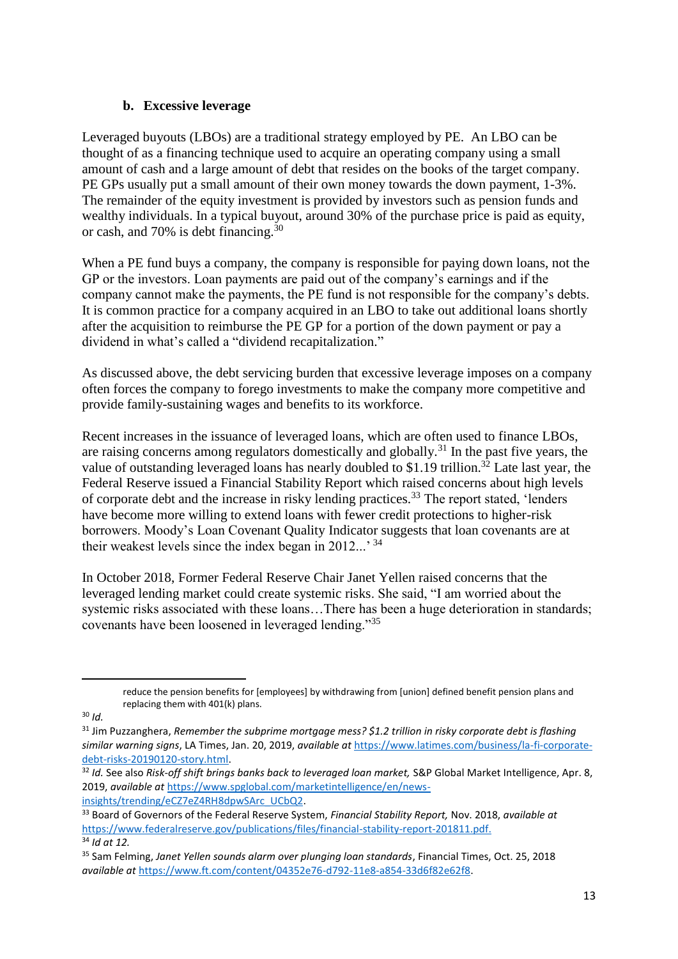#### **b. Excessive leverage**

Leveraged buyouts (LBOs) are a traditional strategy employed by PE. An LBO can be thought of as a financing technique used to acquire an operating company using a small amount of cash and a large amount of debt that resides on the books of the target company. PE GPs usually put a small amount of their own money towards the down payment, 1-3%. The remainder of the equity investment is provided by investors such as pension funds and wealthy individuals. In a typical buyout, around 30% of the purchase price is paid as equity, or cash, and 70% is debt financing.<sup>30</sup>

When a PE fund buys a company, the company is responsible for paying down loans, not the GP or the investors. Loan payments are paid out of the company's earnings and if the company cannot make the payments, the PE fund is not responsible for the company's debts. It is common practice for a company acquired in an LBO to take out additional loans shortly after the acquisition to reimburse the PE GP for a portion of the down payment or pay a dividend in what's called a "dividend recapitalization."

As discussed above, the debt servicing burden that excessive leverage imposes on a company often forces the company to forego investments to make the company more competitive and provide family-sustaining wages and benefits to its workforce.

Recent increases in the issuance of leveraged loans, which are often used to finance LBOs, are raising concerns among regulators domestically and globally.<sup>31</sup> In the past five years, the value of outstanding leveraged loans has nearly doubled to \$1.19 trillion.<sup>32</sup> Late last year, the Federal Reserve issued a Financial Stability Report which raised concerns about high levels of corporate debt and the increase in risky lending practices.<sup>33</sup> The report stated, 'lenders' have become more willing to extend loans with fewer credit protections to higher-risk borrowers. Moody's Loan Covenant Quality Indicator suggests that loan covenants are at their weakest levels since the index began in  $2012...$ <sup>34</sup>

In October 2018, Former Federal Reserve Chair Janet Yellen raised concerns that the leveraged lending market could create systemic risks. She said, "I am worried about the systemic risks associated with these loans...There has been a huge deterioration in standards; covenants have been loosened in leveraged lending."<sup>35</sup>

1

reduce the pension benefits for [employees] by withdrawing from [union] defined benefit pension plans and replacing them with 401(k) plans.

<sup>30</sup> *Id.* 

<sup>31</sup> Jim Puzzanghera, *Remember the subprime mortgage mess? \$1.2 trillion in risky corporate debt is flashing similar warning signs*, LA Times, Jan. 20, 2019, *available at* [https://www.latimes.com/business/la-fi-corporate](https://www.latimes.com/business/la-fi-corporate-debt-risks-20190120-story.html)[debt-risks-20190120-story.html.](https://www.latimes.com/business/la-fi-corporate-debt-risks-20190120-story.html)

<sup>32</sup> *Id.* See also *Risk-off shift brings banks back to leveraged loan market,* S&P Global Market Intelligence, Apr. 8, 2019, *available at* [https://www.spglobal.com/marketintelligence/en/news](https://www.spglobal.com/marketintelligence/en/news-insights/trending/eCZ7eZ4RH8dpwSArc_UCbQ2)[insights/trending/eCZ7eZ4RH8dpwSArc\\_UCbQ2.](https://www.spglobal.com/marketintelligence/en/news-insights/trending/eCZ7eZ4RH8dpwSArc_UCbQ2) 

<sup>33</sup> Board of Governors of the Federal Reserve System, *Financial Stability Report,* Nov. 2018, *available at*  [https://www.federalreserve.gov/publications/files/financial-stability-report-201811.pdf.](https://www.federalreserve.gov/publications/files/financial-stability-report-201811.pdf) <sup>34</sup> *Id at 12.* 

<sup>35</sup> Sam Felming, *Janet Yellen sounds alarm over plunging loan standards*, Financial Times, Oct. 25, 2018 *available at* [https://www.ft.com/content/04352e76-d792-11e8-a854-33d6f82e62f8.](https://www.ft.com/content/04352e76-d792-11e8-a854-33d6f82e62f8)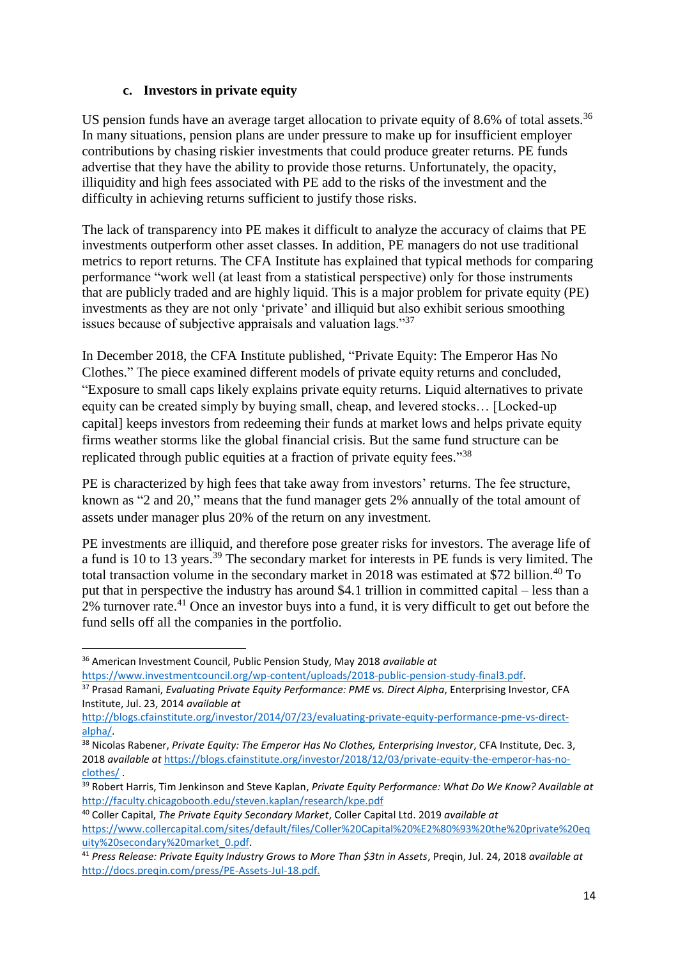#### **c. Investors in private equity**

US pension funds have an average target allocation to private equity of 8.6% of total assets.<sup>36</sup> In many situations, pension plans are under pressure to make up for insufficient employer contributions by chasing riskier investments that could produce greater returns. PE funds advertise that they have the ability to provide those returns. Unfortunately, the opacity, illiquidity and high fees associated with PE add to the risks of the investment and the difficulty in achieving returns sufficient to justify those risks.

The lack of transparency into PE makes it difficult to analyze the accuracy of claims that PE investments outperform other asset classes. In addition, PE managers do not use traditional metrics to report returns. The CFA Institute has explained that typical methods for comparing performance "work well (at least from a statistical perspective) only for those instruments that are publicly traded and are highly liquid. This is a major problem for private equity (PE) investments as they are not only 'private' and illiquid but also exhibit serious smoothing issues because of subjective appraisals and valuation lags."<sup>37</sup>

In December 2018, the CFA Institute published, "Private Equity: The Emperor Has No Clothes." The piece examined different models of private equity returns and concluded, "Exposure to small caps likely explains private equity returns. Liquid alternatives to private equity can be created simply by buying small, cheap, and levered stocks… [Locked-up capital] keeps investors from redeeming their funds at market lows and helps private equity firms weather storms like the global financial crisis. But the same fund structure can be replicated through public equities at a fraction of private equity fees."<sup>38</sup>

PE is characterized by high fees that take away from investors' returns. The fee structure, known as "2 and 20," means that the fund manager gets 2% annually of the total amount of assets under manager plus 20% of the return on any investment.

PE investments are illiquid, and therefore pose greater risks for investors. The average life of a fund is 10 to 13 years.<sup>39</sup> The secondary market for interests in PE funds is very limited. The total transaction volume in the secondary market in 2018 was estimated at \$72 billion.<sup>40</sup> To put that in perspective the industry has around \$4.1 trillion in committed capital – less than a  $2\%$  turnover rate.<sup>41</sup> Once an investor buys into a fund, it is very difficult to get out before the fund sells off all the companies in the portfolio.

**.** 

<sup>36</sup> American Investment Council, Public Pension Study, May 2018 *available at* 

[https://www.investmentcouncil.org/wp-content/uploads/2018-public-pension-study-final3.pdf.](https://www.investmentcouncil.org/wp-content/uploads/2018-public-pension-study-final3.pdf) 

<sup>37</sup> Prasad Ramani, *Evaluating Private Equity Performance: PME vs. Direct Alpha*, Enterprising Investor, CFA Institute, Jul. 23, 2014 *available at*

[http://blogs.cfainstitute.org/investor/2014/07/23/evaluating-private-equity-performance-pme-vs-direct](http://blogs.cfainstitute.org/investor/2014/07/23/evaluating-private-equity-performance-pme-vs-direct-alpha/)[alpha/.](http://blogs.cfainstitute.org/investor/2014/07/23/evaluating-private-equity-performance-pme-vs-direct-alpha/)

<sup>38</sup> Nicolas Rabener, *Private Equity: The Emperor Has No Clothes, Enterprising Investor*, CFA Institute, Dec. 3, 2018 *available at* [https://blogs.cfainstitute.org/investor/2018/12/03/private-equity-the-emperor-has-no](https://blogs.cfainstitute.org/investor/2018/12/03/private-equity-the-emperor-has-no-clothes/)[clothes/](https://blogs.cfainstitute.org/investor/2018/12/03/private-equity-the-emperor-has-no-clothes/) .

<sup>39</sup> Robert Harris, Tim Jenkinson and Steve Kaplan, *Private Equity Performance: What Do We Know? Available at* <http://faculty.chicagobooth.edu/steven.kaplan/research/kpe.pdf>

<sup>40</sup> Coller Capital, *The Private Equity Secondary Market*, Coller Capital Ltd. 2019 *available at*  [https://www.collercapital.com/sites/default/files/Coller%20Capital%20%E2%80%93%20the%20private%20eq](https://www.collercapital.com/sites/default/files/Coller%20Capital%20%E2%80%93%20the%20private%20equity%20secondary%20market_0.pdf) [uity%20secondary%20market\\_0.pdf.](https://www.collercapital.com/sites/default/files/Coller%20Capital%20%E2%80%93%20the%20private%20equity%20secondary%20market_0.pdf)

<sup>41</sup> *Press Release: Private Equity Industry Grows to More Than \$3tn in Assets*, Preqin, Jul. 24, 2018 *available at* [http://docs.preqin.com/press/PE-Assets-Jul-18.pdf.](http://docs.preqin.com/press/PE-Assets-Jul-18.pdf)